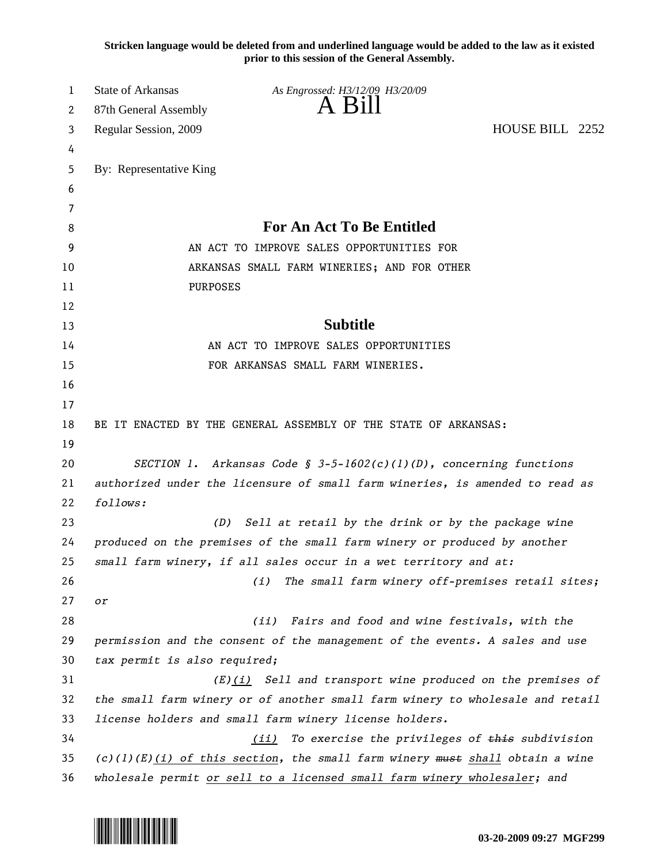**Stricken language would be deleted from and underlined language would be added to the law as it existed prior to this session of the General Assembly.**

| 1  | <b>State of Arkansas</b>                                                       | As Engrossed: H3/12/09 H3/20/09                                          |                 |  |  |
|----|--------------------------------------------------------------------------------|--------------------------------------------------------------------------|-----------------|--|--|
| 2  | 87th General Assembly                                                          | A Bill                                                                   |                 |  |  |
| 3  | Regular Session, 2009                                                          |                                                                          | HOUSE BILL 2252 |  |  |
| 4  |                                                                                |                                                                          |                 |  |  |
| 5  | By: Representative King                                                        |                                                                          |                 |  |  |
| 6  |                                                                                |                                                                          |                 |  |  |
| 7  |                                                                                |                                                                          |                 |  |  |
| 8  |                                                                                | <b>For An Act To Be Entitled</b>                                         |                 |  |  |
| 9  | AN ACT TO IMPROVE SALES OPPORTUNITIES FOR                                      |                                                                          |                 |  |  |
| 10 |                                                                                | ARKANSAS SMALL FARM WINERIES; AND FOR OTHER                              |                 |  |  |
| 11 | PURPOSES                                                                       |                                                                          |                 |  |  |
| 12 |                                                                                |                                                                          |                 |  |  |
| 13 |                                                                                | <b>Subtitle</b>                                                          |                 |  |  |
| 14 |                                                                                | AN ACT TO IMPROVE SALES OPPORTUNITIES                                    |                 |  |  |
| 15 |                                                                                | FOR ARKANSAS SMALL FARM WINERIES.                                        |                 |  |  |
| 16 |                                                                                |                                                                          |                 |  |  |
| 17 |                                                                                |                                                                          |                 |  |  |
| 18 |                                                                                | BE IT ENACTED BY THE GENERAL ASSEMBLY OF THE STATE OF ARKANSAS:          |                 |  |  |
| 19 |                                                                                |                                                                          |                 |  |  |
| 20 | SECTION 1. Arkansas Code § 3-5-1602(c)(1)(D), concerning functions             |                                                                          |                 |  |  |
| 21 | authorized under the licensure of small farm wineries, is amended to read as   |                                                                          |                 |  |  |
| 22 | follows:                                                                       |                                                                          |                 |  |  |
| 23 | Sell at retail by the drink or by the package wine<br>(D)                      |                                                                          |                 |  |  |
| 24 | produced on the premises of the small farm winery or produced by another       |                                                                          |                 |  |  |
| 25 |                                                                                | small farm winery, if all sales occur in a wet territory and at:         |                 |  |  |
| 26 |                                                                                | The small farm winery off-premises retail sites;<br>(i)                  |                 |  |  |
| 27 | or                                                                             |                                                                          |                 |  |  |
| 28 |                                                                                | Fairs and food and wine festivals, with the<br>(ii)                      |                 |  |  |
| 29 | permission and the consent of the management of the events. A sales and use    |                                                                          |                 |  |  |
| 30 | tax permit is also required;                                                   |                                                                          |                 |  |  |
| 31 |                                                                                | $(E)(i)$ Sell and transport wine produced on the premises of             |                 |  |  |
| 32 | the small farm winery or of another small farm winery to wholesale and retail  |                                                                          |                 |  |  |
| 33 | license holders and small farm winery license holders.                         |                                                                          |                 |  |  |
| 34 | To exercise the privileges of this subdivision<br>(iii)                        |                                                                          |                 |  |  |
| 35 | $(c)(1)(E)(i)$ of this section, the small farm winery must shall obtain a wine |                                                                          |                 |  |  |
| 36 |                                                                                | wholesale permit or sell to a licensed small farm winery wholesaler; and |                 |  |  |